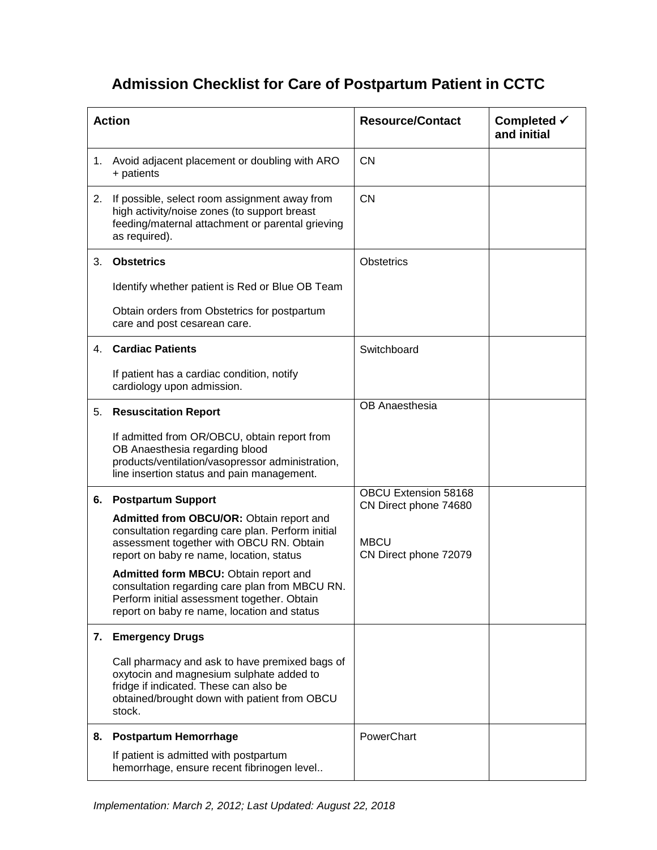## **Admission Checklist for Care of Postpartum Patient in CCTC**

| <b>Action</b> |                                                                                                                                                                                                                                | <b>Resource/Contact</b>                       | Completed $\checkmark$<br>and initial |
|---------------|--------------------------------------------------------------------------------------------------------------------------------------------------------------------------------------------------------------------------------|-----------------------------------------------|---------------------------------------|
| 1.            | Avoid adjacent placement or doubling with ARO<br>+ patients                                                                                                                                                                    | <b>CN</b>                                     |                                       |
| 2.            | If possible, select room assignment away from<br>high activity/noise zones (to support breast<br>feeding/maternal attachment or parental grieving<br>as required).                                                             | <b>CN</b>                                     |                                       |
| 3.            | <b>Obstetrics</b>                                                                                                                                                                                                              | <b>Obstetrics</b>                             |                                       |
|               | Identify whether patient is Red or Blue OB Team                                                                                                                                                                                |                                               |                                       |
|               | Obtain orders from Obstetrics for postpartum<br>care and post cesarean care.                                                                                                                                                   |                                               |                                       |
| 4.            | <b>Cardiac Patients</b>                                                                                                                                                                                                        | Switchboard                                   |                                       |
|               | If patient has a cardiac condition, notify<br>cardiology upon admission.                                                                                                                                                       |                                               |                                       |
| 5.            | <b>Resuscitation Report</b>                                                                                                                                                                                                    | OB Anaesthesia                                |                                       |
|               | If admitted from OR/OBCU, obtain report from<br>OB Anaesthesia regarding blood<br>products/ventilation/vasopressor administration,<br>line insertion status and pain management.                                               |                                               |                                       |
| 6.            | <b>Postpartum Support</b>                                                                                                                                                                                                      | OBCU Extension 58168<br>CN Direct phone 74680 |                                       |
|               | Admitted from OBCU/OR: Obtain report and<br>consultation regarding care plan. Perform initial<br>assessment together with OBCU RN. Obtain<br>report on baby re name, location, status<br>Admitted form MBCU: Obtain report and | <b>MBCU</b><br>CN Direct phone 72079          |                                       |
|               | consultation regarding care plan from MBCU RN.<br>Perform initial assessment together. Obtain<br>report on baby re name, location and status                                                                                   |                                               |                                       |
| 7.            | <b>Emergency Drugs</b>                                                                                                                                                                                                         |                                               |                                       |
|               | Call pharmacy and ask to have premixed bags of<br>oxytocin and magnesium sulphate added to<br>fridge if indicated. These can also be<br>obtained/brought down with patient from OBCU<br>stock.                                 |                                               |                                       |
| 8.            | <b>Postpartum Hemorrhage</b>                                                                                                                                                                                                   | PowerChart                                    |                                       |
|               | If patient is admitted with postpartum<br>hemorrhage, ensure recent fibrinogen level                                                                                                                                           |                                               |                                       |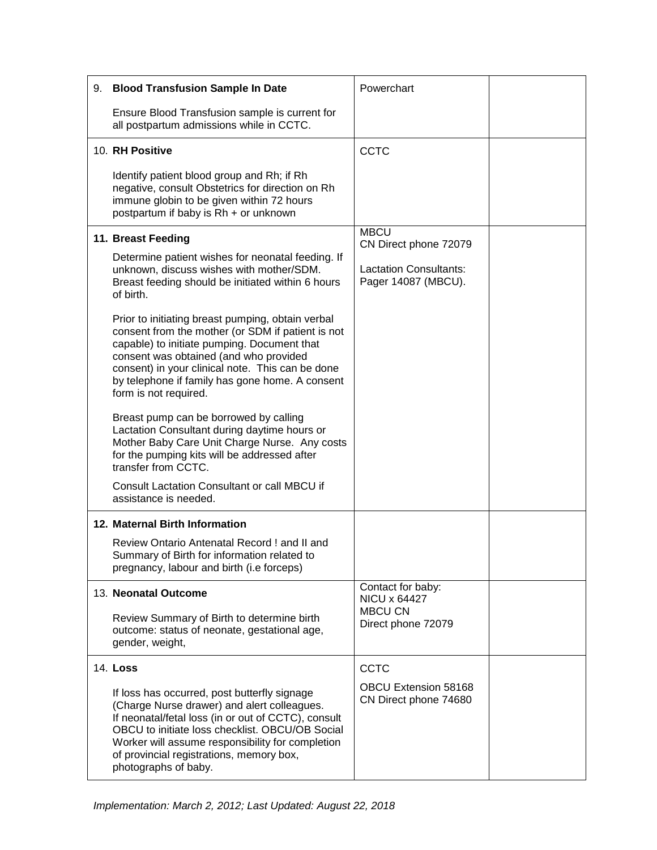| 9. | <b>Blood Transfusion Sample In Date</b>                                                                                                                                                                                                                                                                                         | Powerchart                                           |  |
|----|---------------------------------------------------------------------------------------------------------------------------------------------------------------------------------------------------------------------------------------------------------------------------------------------------------------------------------|------------------------------------------------------|--|
|    | Ensure Blood Transfusion sample is current for<br>all postpartum admissions while in CCTC.                                                                                                                                                                                                                                      |                                                      |  |
|    | 10. RH Positive                                                                                                                                                                                                                                                                                                                 | <b>CCTC</b>                                          |  |
|    | Identify patient blood group and Rh; if Rh<br>negative, consult Obstetrics for direction on Rh<br>immune globin to be given within 72 hours<br>postpartum if baby is Rh + or unknown                                                                                                                                            |                                                      |  |
|    | 11. Breast Feeding                                                                                                                                                                                                                                                                                                              | <b>MBCU</b><br>CN Direct phone 72079                 |  |
|    | Determine patient wishes for neonatal feeding. If<br>unknown, discuss wishes with mother/SDM.<br>Breast feeding should be initiated within 6 hours<br>of birth.                                                                                                                                                                 | <b>Lactation Consultants:</b><br>Pager 14087 (MBCU). |  |
|    | Prior to initiating breast pumping, obtain verbal<br>consent from the mother (or SDM if patient is not<br>capable) to initiate pumping. Document that<br>consent was obtained (and who provided<br>consent) in your clinical note. This can be done<br>by telephone if family has gone home. A consent<br>form is not required. |                                                      |  |
|    | Breast pump can be borrowed by calling<br>Lactation Consultant during daytime hours or<br>Mother Baby Care Unit Charge Nurse. Any costs<br>for the pumping kits will be addressed after<br>transfer from CCTC.                                                                                                                  |                                                      |  |
|    | Consult Lactation Consultant or call MBCU if<br>assistance is needed.                                                                                                                                                                                                                                                           |                                                      |  |
|    | 12. Maternal Birth Information                                                                                                                                                                                                                                                                                                  |                                                      |  |
|    | Review Ontario Antenatal Record ! and II and<br>Summary of Birth for information related to<br>pregnancy, labour and birth (i.e forceps)                                                                                                                                                                                        |                                                      |  |
|    | 13. Neonatal Outcome                                                                                                                                                                                                                                                                                                            | Contact for baby:<br>NICU x 64427                    |  |
|    | Review Summary of Birth to determine birth<br>outcome: status of neonate, gestational age,<br>gender, weight,                                                                                                                                                                                                                   | <b>MBCU CN</b><br>Direct phone 72079                 |  |
|    | 14. Loss                                                                                                                                                                                                                                                                                                                        | CCTC                                                 |  |
|    | If loss has occurred, post butterfly signage<br>(Charge Nurse drawer) and alert colleagues.<br>If neonatal/fetal loss (in or out of CCTC), consult<br>OBCU to initiate loss checklist. OBCU/OB Social<br>Worker will assume responsibility for completion<br>of provincial registrations, memory box,<br>photographs of baby.   | <b>OBCU Extension 58168</b><br>CN Direct phone 74680 |  |